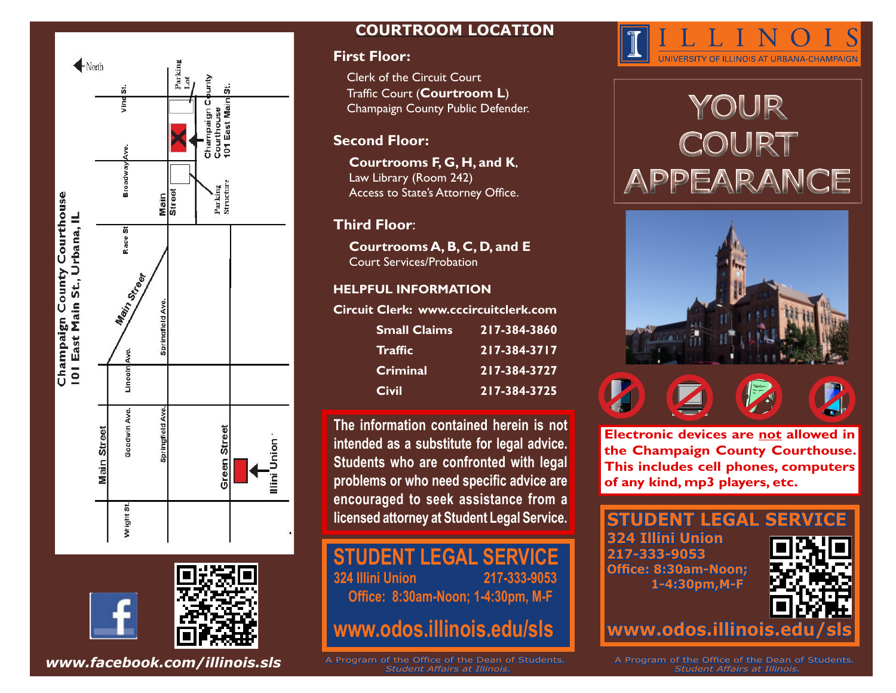

### **COURTROOM LOCATION**

#### **First Floor:**

Clerk of the Circuit Court Traffic Court (**Courtroom L**) Champaign County Public Defender.

#### **Second Floor:**

**Courtrooms F, G, H, and K**, Law Library (Room 242) Access to State's Attorney Office.

#### **Third Floor**:

**Courtrooms A, B, C, D, and E** Court Services/Probation

#### **HELPFUL INFORMATION**

**Circuit Clerk: www.cccircuitclerk.com**

| <b>Small Claims</b> | 217-384-3860 |
|---------------------|--------------|
| <b>Traffic</b>      | 217-384-3717 |
| Criminal            | 217-384-3727 |
| <b>Civil</b>        | 217-384-3725 |

**The information contained herein is not intended as a substitute for legal advice. Students who are confronted with legal problems or who need specific advice are encouraged to seek assistance from a licensed attorney at Student Legal Service.**

### **STUDENT LEGAL SERVICE**<br>324 Illini Union 217-333-9053 **324 Illini Union**

**Office: 8:30am-Noon; 1-4:30pm, M-F**

**www.odos.illinois.edu/sls**

**www.facebook.com/illinois.sls** A Program of the Office of the Dean of Students.  *Student Affairs at Illinois.*



# YOUR COURT APPEARANCE



**Electronic devices are not allowed in the Champaign County Courthouse. This includes cell phones, computers of any kind, mp3 players, etc.**

# **STUDENT LEGAL SERVICE**

**324 Illini Union 217-333-9053 Office: 8:30am-Noon; 1-4:30pm,M-F**



www.odos.illinois.edu

A Program of the Office of the Dean of Students*. Student Affairs at Illinois.*